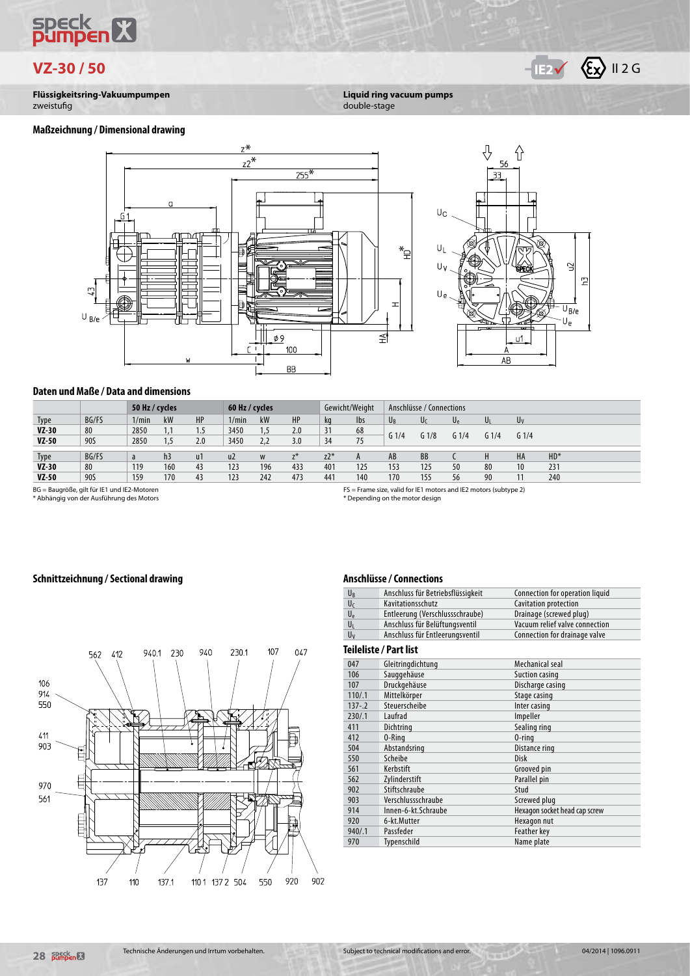# speck<br>**Dumbe**  $\overline{\mathbf{R}}$



**Flüssigkeitsring-Vakuumpumpen** zweistufig

# **Liquid ring vacuum pumps**

double-stage







#### **Daten und Maße / Data and dimensions**

|             |       | 50 Hz / cycles |                |     | 60 Hz / cycles |     |       |       | Gewicht/Weight |                  | Anschlüsse / Connections |                  |      |                  |        |
|-------------|-------|----------------|----------------|-----|----------------|-----|-------|-------|----------------|------------------|--------------------------|------------------|------|------------------|--------|
| <b>Type</b> | BG/FS | 1/min          | kW             | HP  | 1/min          | kW  | HP    | kg    | <b>lbs</b>     | $U_B$            | Uc                       | U۴               | U    | Uv               |        |
| $VZ-30$     | 80    | 2850           |                | 1.5 | 3450           | 1,5 | 2.0   | 31    | 68             | G <sub>1/4</sub> | G <sub>1/8</sub>         | G <sub>1/4</sub> | G1/4 | G <sub>1/4</sub> |        |
| $VZ-50$     | 90S   | 2850           |                | 2.0 | 3450           | 2,2 | 3.0   | 34    | 75             |                  |                          |                  |      |                  |        |
|             |       |                |                |     |                |     |       |       |                |                  |                          |                  |      |                  |        |
| <b>Type</b> | BG/FS | a              | h <sub>3</sub> | u1  | u <sub>2</sub> | W   | $Z^*$ | $Z^*$ |                | AB               | BB                       |                  |      | HA               | $HD^*$ |
| $VZ-30$     | 80    | 119            | 160            | 43  | 123            | 196 | 433   | 401   | 125            | 153              | 125                      | 50               | 80   | 10               | 231    |
| $VZ-50$     | 90S   | 159            | 170            | 43  | 123            | 242 | 473   | 441   | 140            | 170              | 155                      | 56               | 90   | 11               | 240    |
|             |       |                |                |     |                |     |       |       |                |                  |                          |                  |      |                  |        |

BG = Baugröße, gilt für IE1 und IE2-Motoren \* Abhängig von der Ausführung des Motors

FS = Frame size, valid for IE1 motors and IE2 motors (subtype 2) \* Depending on the motor design

### **Schnittzeichnung / Sectional drawing**

#### **Anschlüsse / Connections**

| UR             | Anschluss für Betriebsflüssigkeit | Connection for operation liquid |
|----------------|-----------------------------------|---------------------------------|
| U <sub>f</sub> | Kavitationsschutz                 | Cavitation protection           |
| $U_{\rm e}$    | Entleerung (Verschlussschraube)   | Drainage (screwed plug)         |
| Uı             | Anschluss für Belüftungsventil    | Vacuum relief valve connection  |
| Uv             | Anschluss für Entleerungsventil   | Connection for drainage valve   |

#### **Teileliste / Part list**

|           | Telleliste / Fait IIst |                               |
|-----------|------------------------|-------------------------------|
| 047       | Gleitringdichtung      | Mechanical seal               |
| 106       | Sauggehäuse            | Suction casing                |
| 107       | Druckgehäuse           | Discharge casing              |
| 110/.1    | Mittelkörper           | Stage casing                  |
| $137 - 2$ | Steuerscheibe          | Inter casing                  |
| 230/.1    | Laufrad                | Impeller                      |
| 411       | Dichtring              | Sealing ring                  |
| 412       | 0-Ring                 | $0$ -ring                     |
| 504       | Abstandsring           | Distance ring                 |
| 550       | Scheibe                | Disk                          |
| 561       | Kerbstift              | Grooved pin                   |
| 562       | Zylinderstift          | Parallel pin                  |
| 902       | Stiftschraube          | Stud                          |
| 903       | Verschlussschraube     | Screwed plug                  |
| 914       | Innen-6-kt.Schraube    | Hexagon socket head cap screw |
| 920       | 6-kt.Mutter            | Hexagon nut                   |
| 940/.1    | Passfeder              | Feather key                   |
| 970       | Typenschild            | Name plate                    |

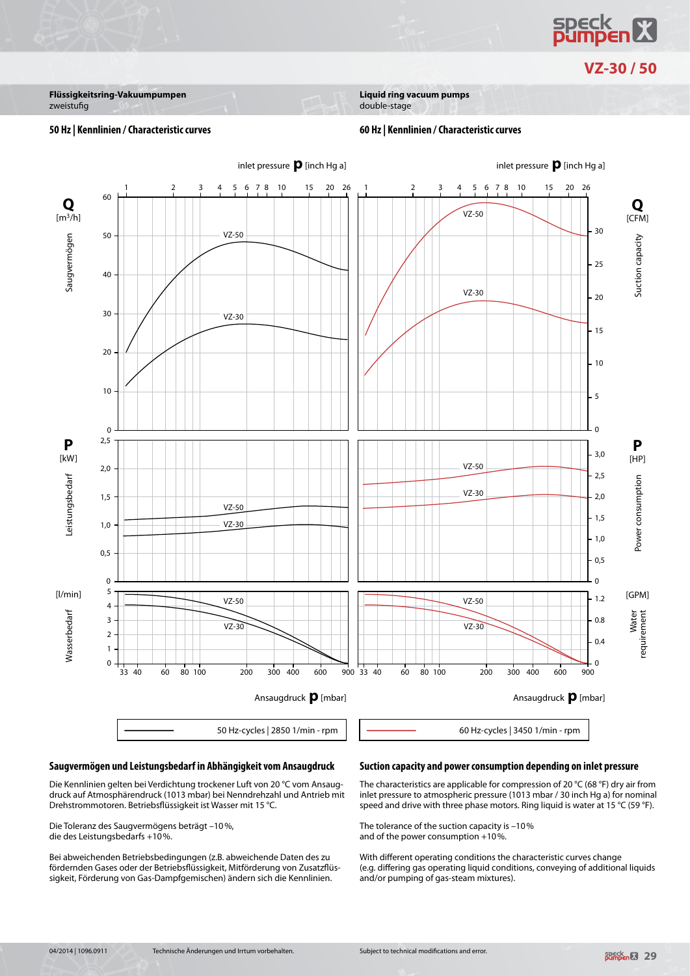**SPECK**<br>**D: Impen 53** 

**VZ-30 / 50**

**Flüssigkeitsring-Vakuumpumpen** zweistufig

**Liquid ring vacuum pumps**

#### double-stage

#### **50 Hz | Kennlinien / Characteristic curves 60 Hz | Kennlinien / Characteristic curves**



#### **Saugvermögen und Leistungsbedarf in Abhängigkeit vom Ansaugdruck**

Die Kennlinien gelten bei Verdichtung trockener Luft von 20 °C vom Ansaugdruck auf Atmosphärendruck (1013 mbar) bei Nenndrehzahl und Antrieb mit Drehstrommotoren. Betriebsflüssigkeit ist Wasser mit 15 °C.

Die Toleranz des Saugvermögens beträgt –10%, die des Leistungsbedarfs +10%.

Bei abweichenden Betriebsbedingungen (z.B. abweichende Daten des zu fördernden Gases oder der Betriebsflüssigkeit, Mitförderung von Zusatzflüssigkeit, Förderung von Gas-Dampfgemischen) ändern sich die Kennlinien.

#### **Suction capacity and power consumption depending on inlet pressure**

The characteristics are applicable for compression of 20 °C (68 °F) dry air from inlet pressure to atmospheric pressure (1013 mbar / 30 inch Hg a) for nominal speed and drive with three phase motors. Ring liquid is water at 15 °C (59 °F).

The tolerance of the suction capacity is –10% and of the power consumption +10%.

With different operating conditions the characteristic curves change (e.g. differing gas operating liquid conditions, conveying of additional liquids and/or pumping of gas-steam mixtures).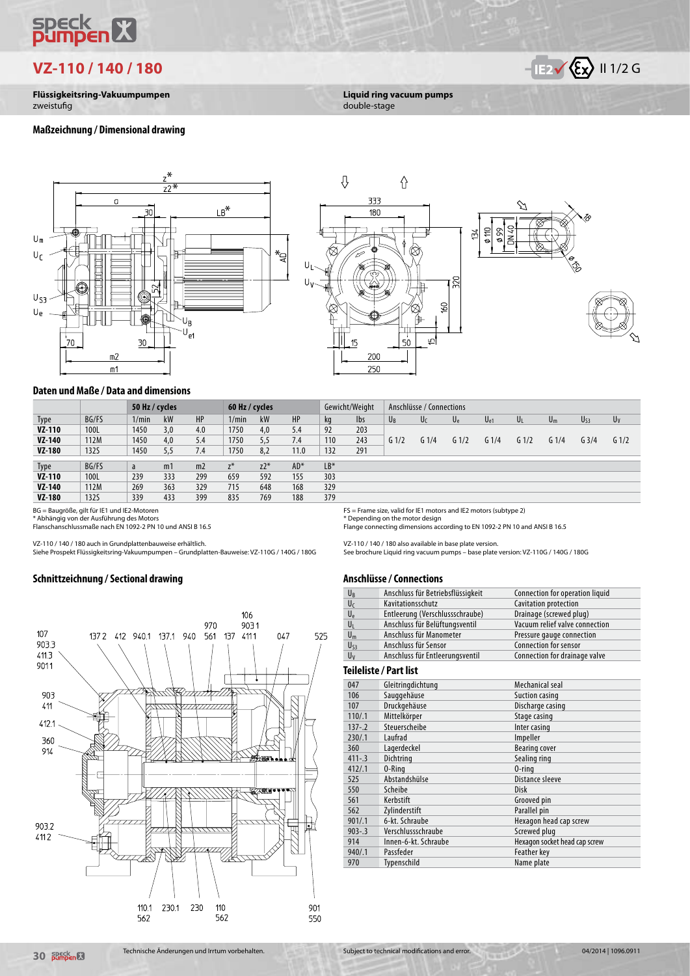# speck<br>**Dumben** X

**VZ-110 / 140 / 180 IV IV IV IV IV II 1/2 G** 

**Flüssigkeitsring-Vakuumpumpen** zweistufig

#### **Maßzeichnung / Dimensional drawing**





**Liquid ring vacuum pumps**

double-stage



#### **Daten und Maße / Data and dimensions**

|               |             | 50 Hz / cycles |                |                | 60 Hz / cycles |       |       |       | Gewicht/Weight |         | Anschlüsse / Connections |         |                  |                  |                  |                  |         |
|---------------|-------------|----------------|----------------|----------------|----------------|-------|-------|-------|----------------|---------|--------------------------|---------|------------------|------------------|------------------|------------------|---------|
| Type          | BG/FS       | 1/min          | kW             | HP             | 1/min          | kW    | HP    | kg    | <b>lbs</b>     | $U_{R}$ | U <sub>C</sub>           | $U_{e}$ | $U_{e1}$         | UL               | $U_m$            | $U_{53}$         | $U_V$   |
| VZ-110        | 100L        | 1450           | 3,0            | 4.0            | 1750           | 4,0   | 5.4   | 92    | 203            |         |                          |         |                  |                  |                  |                  |         |
| VZ-140        | 112M        | 1450           | 4,0            | 5.4            | 1750           | 5,5   | 7.4   | 110   | 243            | $G_1/2$ | G <sub>1/4</sub>         | $G_1/2$ | G <sub>1/4</sub> | G <sub>1/2</sub> | G <sub>1/4</sub> | G <sub>3/4</sub> | $G_1/2$ |
| <b>VZ-180</b> | <b>132S</b> | 1450           | 5,5            | 7.4            | 1750           | 8,2   | 11.0  | 132   | 291            |         |                          |         |                  |                  |                  |                  |         |
|               |             |                |                |                |                |       |       |       |                |         |                          |         |                  |                  |                  |                  |         |
| <b>Type</b>   | BG/FS       | a              | m <sub>1</sub> | m <sub>2</sub> | $Z^*$          | $Z^*$ | $AD*$ | $LB*$ |                |         |                          |         |                  |                  |                  |                  |         |
| <b>VZ-110</b> | 100L        | 239            | 333            | 299            | 659            | 592   | 155   | 303   |                |         |                          |         |                  |                  |                  |                  |         |
| VZ-140        | 112M        | 269            | 363            | 329            | 715            | 648   | 168   | 329   |                |         |                          |         |                  |                  |                  |                  |         |
| <b>VZ-180</b> | 1325        | 339            | 433            | 399            | 835            | 769   | 188   | 379   |                |         |                          |         |                  |                  |                  |                  |         |

BG = Baugröße, gilt für IE1 und IE2-Motoren \* Abhängig von der Ausführung des Motors Flanschanschlussmaße nach EN 1092-2 PN 10 und ANSI B 16.5

VZ-110 / 140 / 180 auch in Grundplattenbauweise erhältlich.

Siehe Prospekt Flüssigkeitsring-Vakuumpumpen – Grundplatten-Bauweise: VZ-110G / 140G / 180G

### **Schnittzeichnung / Sectional drawing**



FS = Frame size, valid for IE1 motors and IE2 motors (subtype 2)

\* Depending on the motor design Flange connecting dimensions according to EN 1092-2 PN 10 and ANSI B 16.5

VZ-110 / 140 / 180 also available in base plate version.

See brochure Liquid ring vacuum pumps – base plate version: VZ-110G / 140G / 180G

#### **Anschlüsse / Connections**

| U <sub>B</sub>        | Anschluss für Betriebsflüssigkeit | Connection for operation liquid |  |  |  |  |
|-----------------------|-----------------------------------|---------------------------------|--|--|--|--|
| Uc                    | Kavitationsschutz                 | Cavitation protection           |  |  |  |  |
| Ue                    | Entleerung (Verschlussschraube)   | Drainage (screwed plug)         |  |  |  |  |
| Uı                    | Anschluss für Belüftungsventil    | Vacuum relief valve connection  |  |  |  |  |
| $U_m$                 | Anschluss für Manometer           | Pressure gauge connection       |  |  |  |  |
| U <sub>S3</sub>       | Anschluss für Sensor              | <b>Connection for sensor</b>    |  |  |  |  |
| Uv                    | Anschluss für Entleerungsventil   | Connection for drainage valve   |  |  |  |  |
| eileliste / Part list |                                   |                                 |  |  |  |  |

#### Te

| 047        | Gleitringdichtung    | Mechanical seal               |
|------------|----------------------|-------------------------------|
| 106        | Sauggehäuse          | Suction casing                |
| 107        | Druckgehäuse         | Discharge casing              |
| 110/.1     | Mittelkörper         | Stage casing                  |
| $137 - 2$  | Steuerscheibe        | Inter casing                  |
| 230/.1     | Laufrad              | Impeller                      |
| 360        | Lagerdeckel          | <b>Bearing cover</b>          |
| $411 - .3$ | Dichtring            | Sealing ring                  |
| 412/1      | 0-Ring               | $0$ -ring                     |
| 525        | Abstandshülse        | Distance sleeve               |
| 550        | Scheibe              | Disk                          |
| 561        | Kerbstift            | Grooved pin                   |
| 562        | Zylinderstift        | Parallel pin                  |
| 901/.1     | 6-kt. Schraube       | Hexagon head cap screw        |
| $903 - 3$  | Verschlussschraube   | Screwed plug                  |
| 914        | Innen-6-kt. Schraube | Hexagon socket head cap screw |
| 940/.1     | Passfeder            | Feather key                   |
| 970        | Typenschild          | Name plate                    |
|            |                      |                               |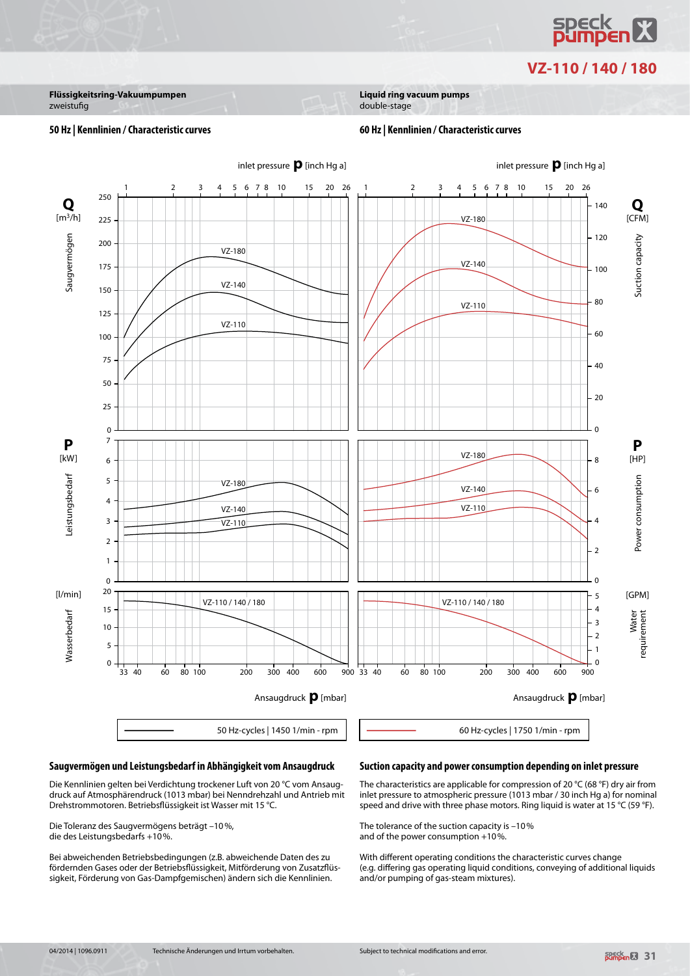

# **VZ-110 / 140 / 180**

**Flüssigkeitsring-Vakuumpumpen** zweistufig

**Liquid ring vacuum pumps**

## double-stage

#### **50 Hz | Kennlinien / Characteristic curves 60 Hz | Kennlinien / Characteristic curves**



#### **Saugvermögen und Leistungsbedarf in Abhängigkeit vom Ansaugdruck**

Die Kennlinien gelten bei Verdichtung trockener Luft von 20 °C vom Ansaugdruck auf Atmosphärendruck (1013 mbar) bei Nenndrehzahl und Antrieb mit Drehstrommotoren. Betriebsflüssigkeit ist Wasser mit 15 °C.

Die Toleranz des Saugvermögens beträgt –10%, die des Leistungsbedarfs +10%.

Bei abweichenden Betriebsbedingungen (z.B. abweichende Daten des zu fördernden Gases oder der Betriebsflüssigkeit, Mitförderung von Zusatzflüssigkeit, Förderung von Gas-Dampfgemischen) ändern sich die Kennlinien.

#### **Suction capacity and power consumption depending on inlet pressure**

The characteristics are applicable for compression of 20 °C (68 °F) dry air from inlet pressure to atmospheric pressure (1013 mbar / 30 inch Hg a) for nominal speed and drive with three phase motors. Ring liquid is water at 15 °C (59 °F).

The tolerance of the suction capacity is –10% and of the power consumption +10%.

With different operating conditions the characteristic curves change (e.g. differing gas operating liquid conditions, conveying of additional liquids and/or pumping of gas-steam mixtures).